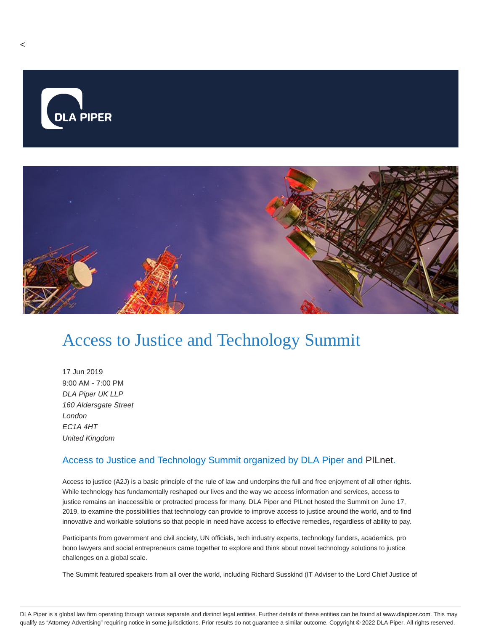

## Access to Justice and Technology Summit

17 Jun 2019 9:00 AM - 7:00 PM DLA Piper UK LLP 160 Aldersgate Street London EC1A 4HT United Kingdom

## Access to Justice and Technology Summit organized by DLA Piper and PILnet.

Access to justice (A2J) is a basic principle of the rule of law and underpins the full and free enjoyment of all other rights. While technology has fundamentally reshaped our lives and the way we access information and services, access to justice remains an inaccessible or protracted process for many. DLA Piper and PILnet hosted the Summit on June 17, 2019, to examine the possibilities that technology can provide to improve access to justice around the world, and to find innovative and workable solutions so that people in need have access to effective remedies, regardless of ability to pay.

Participants from government and civil society, UN officials, tech industry experts, technology funders, academics, pro bono lawyers and social entrepreneurs came together to explore and think about novel technology solutions to justice challenges on a global scale.

The Summit featured speakers from all over the world, including Richard Susskind (IT Adviser to the Lord Chief Justice of